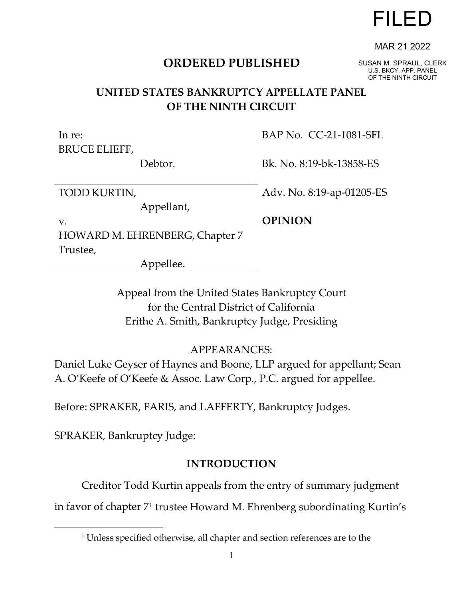# **ORDERED PUBLISHED**

# OF THE NINTH CIRCUIT

BAP No. CC-21-1081-SFL

## **UNITED STATES BANKRUPTCY APPELLATE PANEL OF THE NINTH CIRCUIT**

BRUCE ELIEFF, Debtor. Bk. No. 8:19-bk-13858-ES Adv. No. 8:19-ap-01205-ES **OPINION** TODD KURTIN, Appellant, HOWARD M. EHRENBERG, Chapter 7 Trustee, Appellee.

> Appeal from the United States Bankruptcy Court for the Central District of California Erithe A. Smith, Bankruptcy Judge, Presiding

## APPEARANCES:

Daniel Luke Geyser of Haynes and Boone, LLP argued for appellant; Sean A. O'Keefe of O'Keefe & Assoc. Law Corp., P.C. argued for appellee.

Before: SPRAKER, FARIS, and LAFFERTY, Bankruptcy Judges.

SPRAKER, Bankruptcy Judge:

In re:

v.

# **INTRODUCTION**

<span id="page-0-0"></span>Creditor Todd Kurtin appeals from the entry of summary judgment in favor of chapter 7[1](#page-0-0) trustee Howard M. Ehrenberg subordinating Kurtin's

1

FILED

SUSAN M. SPRAUL, CLERK U.S. BKCY. APP. PANEL

MAR 21 2022

<sup>&</sup>lt;sup>1</sup> Unless specified otherwise, all chapter and section references are to the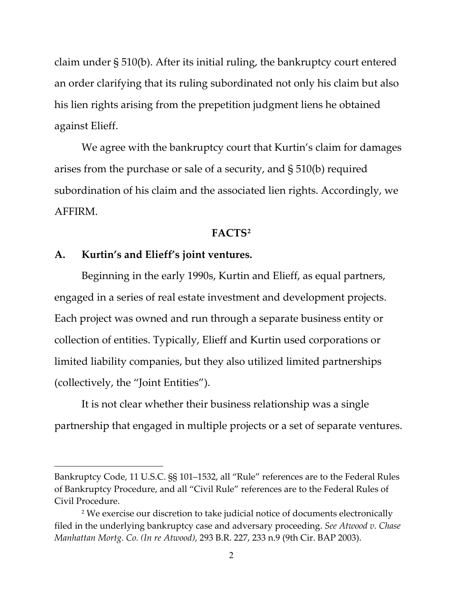claim under § 510(b). After its initial ruling, the bankruptcy court entered an order clarifying that its ruling subordinated not only his claim but also his lien rights arising from the prepetition judgment liens he obtained against Elieff.

We agree with the bankruptcy court that Kurtin's claim for damages arises from the purchase or sale of a security, and § 510(b) required subordination of his claim and the associated lien rights. Accordingly, we AFFIRM.

#### **FACTS[2](#page-1-0)**

#### **A. Kurtin's and Elieff's joint ventures.**

Beginning in the early 1990s, Kurtin and Elieff, as equal partners, engaged in a series of real estate investment and development projects. Each project was owned and run through a separate business entity or collection of entities. Typically, Elieff and Kurtin used corporations or limited liability companies, but they also utilized limited partnerships (collectively, the "Joint Entities").

It is not clear whether their business relationship was a single partnership that engaged in multiple projects or a set of separate ventures.

Bankruptcy Code, 11 U.S.C. §§ 101–1532, all "Rule" references are to the Federal Rules of Bankruptcy Procedure, and all "Civil Rule" references are to the Federal Rules of Civil Procedure.

<span id="page-1-0"></span><sup>2</sup> We exercise our discretion to take judicial notice of documents electronically filed in the underlying bankruptcy case and adversary proceeding. *See Atwood v. Chase Manhattan Mortg. Co. (In re Atwood)*, 293 B.R. 227, 233 n.9 (9th Cir. BAP 2003).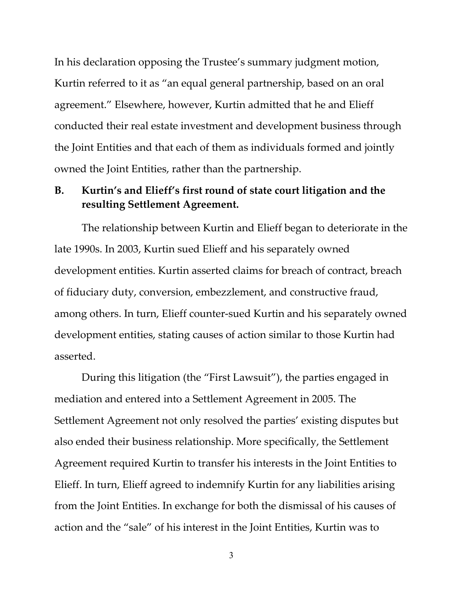In his declaration opposing the Trustee's summary judgment motion, Kurtin referred to it as "an equal general partnership, based on an oral agreement." Elsewhere, however, Kurtin admitted that he and Elieff conducted their real estate investment and development business through the Joint Entities and that each of them as individuals formed and jointly owned the Joint Entities, rather than the partnership.

### **B. Kurtin's and Elieff's first round of state court litigation and the resulting Settlement Agreement.**

The relationship between Kurtin and Elieff began to deteriorate in the late 1990s. In 2003, Kurtin sued Elieff and his separately owned development entities. Kurtin asserted claims for breach of contract, breach of fiduciary duty, conversion, embezzlement, and constructive fraud, among others. In turn, Elieff counter-sued Kurtin and his separately owned development entities, stating causes of action similar to those Kurtin had asserted.

During this litigation (the "First Lawsuit"), the parties engaged in mediation and entered into a Settlement Agreement in 2005. The Settlement Agreement not only resolved the parties' existing disputes but also ended their business relationship. More specifically, the Settlement Agreement required Kurtin to transfer his interests in the Joint Entities to Elieff. In turn, Elieff agreed to indemnify Kurtin for any liabilities arising from the Joint Entities. In exchange for both the dismissal of his causes of action and the "sale" of his interest in the Joint Entities, Kurtin was to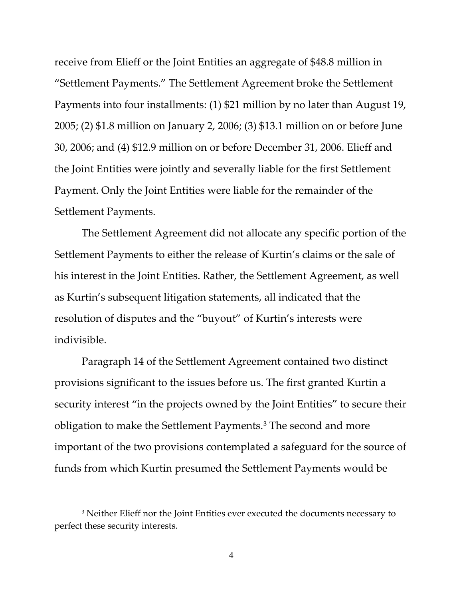receive from Elieff or the Joint Entities an aggregate of \$48.8 million in "Settlement Payments." The Settlement Agreement broke the Settlement Payments into four installments: (1) \$21 million by no later than August 19, 2005; (2) \$1.8 million on January 2, 2006; (3) \$13.1 million on or before June 30, 2006; and (4) \$12.9 million on or before December 31, 2006. Elieff and the Joint Entities were jointly and severally liable for the first Settlement Payment. Only the Joint Entities were liable for the remainder of the Settlement Payments.

The Settlement Agreement did not allocate any specific portion of the Settlement Payments to either the release of Kurtin's claims or the sale of his interest in the Joint Entities. Rather, the Settlement Agreement, as well as Kurtin's subsequent litigation statements, all indicated that the resolution of disputes and the "buyout" of Kurtin's interests were indivisible.

Paragraph 14 of the Settlement Agreement contained two distinct provisions significant to the issues before us. The first granted Kurtin a security interest "in the projects owned by the Joint Entities" to secure their obligation to make the Settlement Payments[.3](#page-3-0) The second and more important of the two provisions contemplated a safeguard for the source of funds from which Kurtin presumed the Settlement Payments would be

<span id="page-3-0"></span><sup>&</sup>lt;sup>3</sup> Neither Elieff nor the Joint Entities ever executed the documents necessary to perfect these security interests.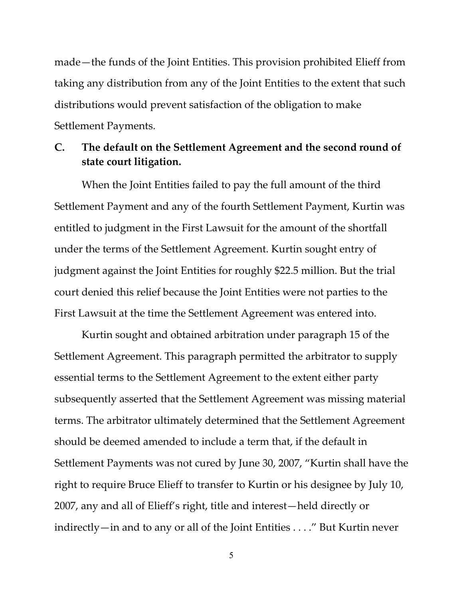made—the funds of the Joint Entities. This provision prohibited Elieff from taking any distribution from any of the Joint Entities to the extent that such distributions would prevent satisfaction of the obligation to make Settlement Payments.

### **C. The default on the Settlement Agreement and the second round of state court litigation.**

When the Joint Entities failed to pay the full amount of the third Settlement Payment and any of the fourth Settlement Payment, Kurtin was entitled to judgment in the First Lawsuit for the amount of the shortfall under the terms of the Settlement Agreement. Kurtin sought entry of judgment against the Joint Entities for roughly \$22.5 million. But the trial court denied this relief because the Joint Entities were not parties to the First Lawsuit at the time the Settlement Agreement was entered into.

Kurtin sought and obtained arbitration under paragraph 15 of the Settlement Agreement. This paragraph permitted the arbitrator to supply essential terms to the Settlement Agreement to the extent either party subsequently asserted that the Settlement Agreement was missing material terms. The arbitrator ultimately determined that the Settlement Agreement should be deemed amended to include a term that, if the default in Settlement Payments was not cured by June 30, 2007, "Kurtin shall have the right to require Bruce Elieff to transfer to Kurtin or his designee by July 10, 2007, any and all of Elieff's right, title and interest—held directly or indirectly—in and to any or all of the Joint Entities . . . ." But Kurtin never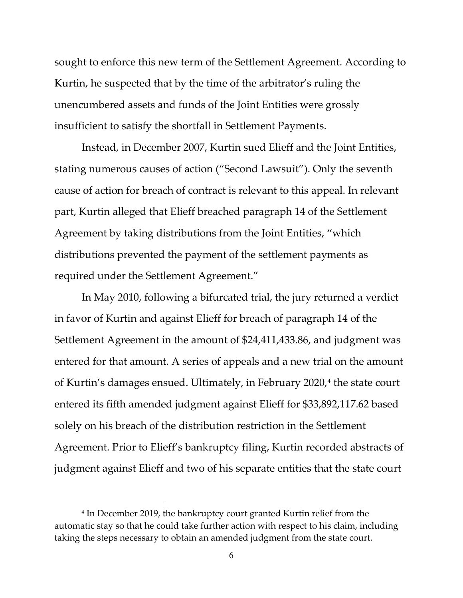sought to enforce this new term of the Settlement Agreement. According to Kurtin, he suspected that by the time of the arbitrator's ruling the unencumbered assets and funds of the Joint Entities were grossly insufficient to satisfy the shortfall in Settlement Payments.

Instead, in December 2007, Kurtin sued Elieff and the Joint Entities, stating numerous causes of action ("Second Lawsuit"). Only the seventh cause of action for breach of contract is relevant to this appeal. In relevant part, Kurtin alleged that Elieff breached paragraph 14 of the Settlement Agreement by taking distributions from the Joint Entities, "which distributions prevented the payment of the settlement payments as required under the Settlement Agreement."

In May 2010, following a bifurcated trial, the jury returned a verdict in favor of Kurtin and against Elieff for breach of paragraph 14 of the Settlement Agreement in the amount of \$24,411,433.86, and judgment was entered for that amount. A series of appeals and a new trial on the amount of Kurtin's damages ensued. Ultimately, in February 2020, [4](#page-5-0) the state court entered its fifth amended judgment against Elieff for \$33,892,117.62 based solely on his breach of the distribution restriction in the Settlement Agreement. Prior to Elieff's bankruptcy filing, Kurtin recorded abstracts of judgment against Elieff and two of his separate entities that the state court

<span id="page-5-0"></span><sup>4</sup> In December 2019, the bankruptcy court granted Kurtin relief from the automatic stay so that he could take further action with respect to his claim, including taking the steps necessary to obtain an amended judgment from the state court.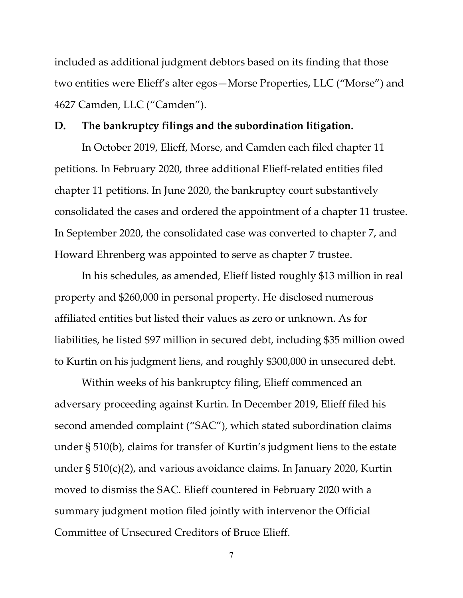included as additional judgment debtors based on its finding that those two entities were Elieff's alter egos—Morse Properties, LLC ("Morse") and 4627 Camden, LLC ("Camden").

#### **D. The bankruptcy filings and the subordination litigation.**

In October 2019, Elieff, Morse, and Camden each filed chapter 11 petitions. In February 2020, three additional Elieff-related entities filed chapter 11 petitions. In June 2020, the bankruptcy court substantively consolidated the cases and ordered the appointment of a chapter 11 trustee. In September 2020, the consolidated case was converted to chapter 7, and Howard Ehrenberg was appointed to serve as chapter 7 trustee.

In his schedules, as amended, Elieff listed roughly \$13 million in real property and \$260,000 in personal property. He disclosed numerous affiliated entities but listed their values as zero or unknown. As for liabilities, he listed \$97 million in secured debt, including \$35 million owed to Kurtin on his judgment liens, and roughly \$300,000 in unsecured debt.

Within weeks of his bankruptcy filing, Elieff commenced an adversary proceeding against Kurtin. In December 2019, Elieff filed his second amended complaint ("SAC"), which stated subordination claims under § 510(b), claims for transfer of Kurtin's judgment liens to the estate under § 510(c)(2), and various avoidance claims. In January 2020, Kurtin moved to dismiss the SAC. Elieff countered in February 2020 with a summary judgment motion filed jointly with intervenor the Official Committee of Unsecured Creditors of Bruce Elieff.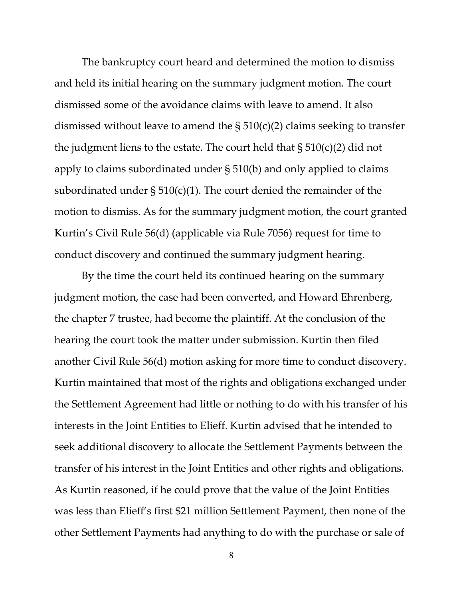The bankruptcy court heard and determined the motion to dismiss and held its initial hearing on the summary judgment motion. The court dismissed some of the avoidance claims with leave to amend. It also dismissed without leave to amend the  $\S 510(c)(2)$  claims seeking to transfer the judgment liens to the estate. The court held that  $\S 510(c)(2)$  did not apply to claims subordinated under § 510(b) and only applied to claims subordinated under  $\S 510(c)(1)$ . The court denied the remainder of the motion to dismiss. As for the summary judgment motion, the court granted Kurtin's Civil Rule 56(d) (applicable via Rule 7056) request for time to conduct discovery and continued the summary judgment hearing.

By the time the court held its continued hearing on the summary judgment motion, the case had been converted, and Howard Ehrenberg, the chapter 7 trustee, had become the plaintiff. At the conclusion of the hearing the court took the matter under submission. Kurtin then filed another Civil Rule 56(d) motion asking for more time to conduct discovery. Kurtin maintained that most of the rights and obligations exchanged under the Settlement Agreement had little or nothing to do with his transfer of his interests in the Joint Entities to Elieff. Kurtin advised that he intended to seek additional discovery to allocate the Settlement Payments between the transfer of his interest in the Joint Entities and other rights and obligations. As Kurtin reasoned, if he could prove that the value of the Joint Entities was less than Elieff's first \$21 million Settlement Payment, then none of the other Settlement Payments had anything to do with the purchase or sale of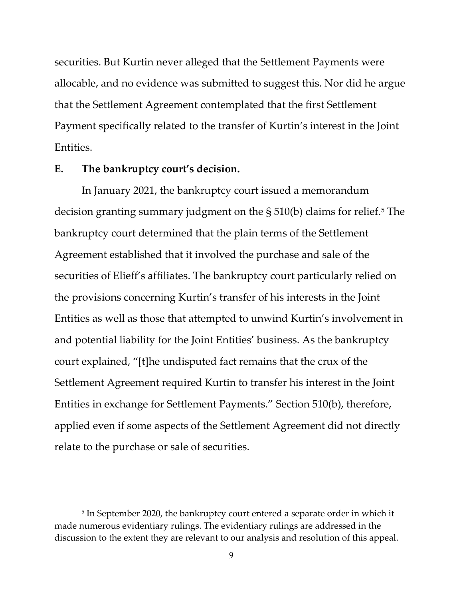securities. But Kurtin never alleged that the Settlement Payments were allocable, and no evidence was submitted to suggest this. Nor did he argue that the Settlement Agreement contemplated that the first Settlement Payment specifically related to the transfer of Kurtin's interest in the Joint Entities.

#### **E. The bankruptcy court's decision.**

In January 2021, the bankruptcy court issued a memorandum decision granting summary judgment on the  $\S 510(b)$  $\S 510(b)$  $\S 510(b)$  claims for relief.<sup>5</sup> The bankruptcy court determined that the plain terms of the Settlement Agreement established that it involved the purchase and sale of the securities of Elieff's affiliates. The bankruptcy court particularly relied on the provisions concerning Kurtin's transfer of his interests in the Joint Entities as well as those that attempted to unwind Kurtin's involvement in and potential liability for the Joint Entities' business. As the bankruptcy court explained, "[t]he undisputed fact remains that the crux of the Settlement Agreement required Kurtin to transfer his interest in the Joint Entities in exchange for Settlement Payments." Section 510(b), therefore, applied even if some aspects of the Settlement Agreement did not directly relate to the purchase or sale of securities.

<span id="page-8-0"></span><sup>5</sup> In September 2020, the bankruptcy court entered a separate order in which it made numerous evidentiary rulings. The evidentiary rulings are addressed in the discussion to the extent they are relevant to our analysis and resolution of this appeal.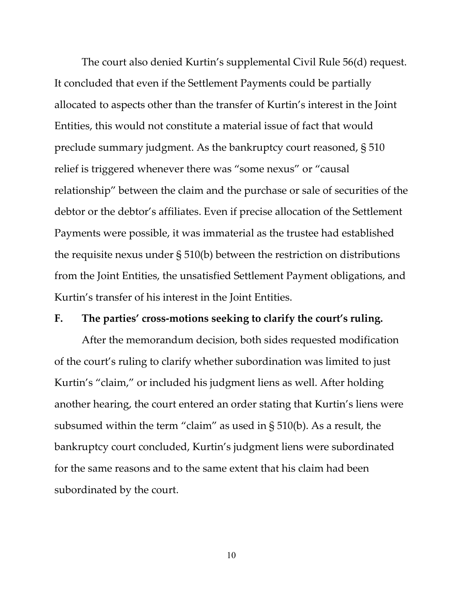The court also denied Kurtin's supplemental Civil Rule 56(d) request. It concluded that even if the Settlement Payments could be partially allocated to aspects other than the transfer of Kurtin's interest in the Joint Entities, this would not constitute a material issue of fact that would preclude summary judgment. As the bankruptcy court reasoned, § 510 relief is triggered whenever there was "some nexus" or "causal relationship" between the claim and the purchase or sale of securities of the debtor or the debtor's affiliates. Even if precise allocation of the Settlement Payments were possible, it was immaterial as the trustee had established the requisite nexus under § 510(b) between the restriction on distributions from the Joint Entities, the unsatisfied Settlement Payment obligations, and Kurtin's transfer of his interest in the Joint Entities.

#### **F. The parties' cross-motions seeking to clarify the court's ruling.**

After the memorandum decision, both sides requested modification of the court's ruling to clarify whether subordination was limited to just Kurtin's "claim," or included his judgment liens as well. After holding another hearing, the court entered an order stating that Kurtin's liens were subsumed within the term "claim" as used in § 510(b). As a result, the bankruptcy court concluded, Kurtin's judgment liens were subordinated for the same reasons and to the same extent that his claim had been subordinated by the court.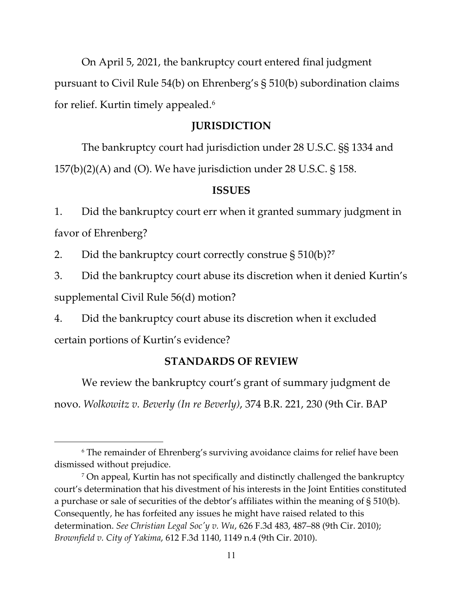On April 5, 2021, the bankruptcy court entered final judgment pursuant to Civil Rule 54(b) on Ehrenberg's § 510(b) subordination claims for relief. Kurtin timely appealed. [6](#page-10-0)

#### **JURISDICTION**

The bankruptcy court had jurisdiction under 28 U.S.C. §§ 1334 and 157(b)(2)(A) and (O). We have jurisdiction under 28 U.S.C. § 158.

#### **ISSUES**

1. Did the bankruptcy court err when it granted summary judgment in favor of Ehrenberg?

2. Did the bankruptcy court correctly construe § 510(b)?**[7](#page-10-1)**

3. Did the bankruptcy court abuse its discretion when it denied Kurtin's supplemental Civil Rule 56(d) motion?

4. Did the bankruptcy court abuse its discretion when it excluded

certain portions of Kurtin's evidence?

#### **STANDARDS OF REVIEW**

We review the bankruptcy court's grant of summary judgment de novo. *Wolkowitz v. Beverly (In re Beverly)*, 374 B.R. 221, 230 (9th Cir. BAP

<span id="page-10-0"></span><sup>6</sup> The remainder of Ehrenberg's surviving avoidance claims for relief have been dismissed without prejudice.

<span id="page-10-1"></span><sup>7</sup> On appeal, Kurtin has not specifically and distinctly challenged the bankruptcy court's determination that his divestment of his interests in the Joint Entities constituted a purchase or sale of securities of the debtor's affiliates within the meaning of § 510(b). Consequently, he has forfeited any issues he might have raised related to this determination. *See Christian Legal Soc'y v. Wu*, 626 F.3d 483, 487–88 (9th Cir. 2010); *Brownfield v. City of Yakima*, 612 F.3d 1140, 1149 n.4 (9th Cir. 2010).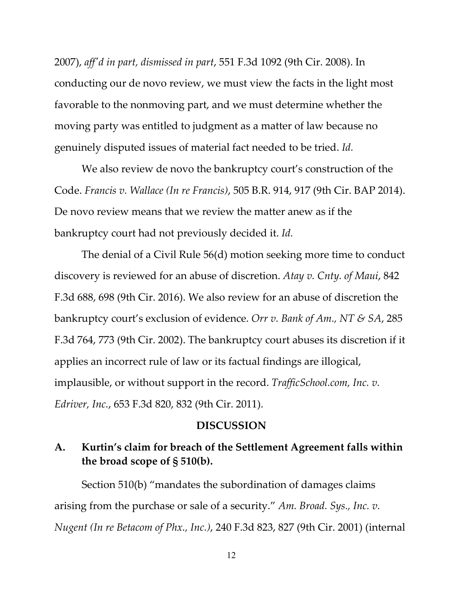2007), *aff'd in part, dismissed in part*, 551 F.3d 1092 (9th Cir. 2008). In conducting our de novo review, we must view the facts in the light most favorable to the nonmoving part, and we must determine whether the moving party was entitled to judgment as a matter of law because no genuinely disputed issues of material fact needed to be tried. *Id.*

We also review de novo the bankruptcy court's construction of the Code. *Francis v. Wallace (In re Francis)*, 505 B.R. 914, 917 (9th Cir. BAP 2014). De novo review means that we review the matter anew as if the bankruptcy court had not previously decided it. *Id.*

The denial of a Civil Rule 56(d) motion seeking more time to conduct discovery is reviewed for an abuse of discretion. *Atay v. Cnty. of Maui*, 842 F.3d 688, 698 (9th Cir. 2016). We also review for an abuse of discretion the bankruptcy court's exclusion of evidence. *Orr v. Bank of Am., NT & SA*, 285 F.3d 764, 773 (9th Cir. 2002). The bankruptcy court abuses its discretion if it applies an incorrect rule of law or its factual findings are illogical, implausible, or without support in the record. *TrafficSchool.com, Inc. v. Edriver, Inc.*, 653 F.3d 820, 832 (9th Cir. 2011).

#### **DISCUSSION**

### **A. Kurtin's claim for breach of the Settlement Agreement falls within the broad scope of § 510(b).**

Section 510(b) "mandates the subordination of damages claims arising from the purchase or sale of a security." *Am. Broad. Sys., Inc. v. Nugent (In re Betacom of Phx., Inc.)*, 240 F.3d 823, 827 (9th Cir. 2001) (internal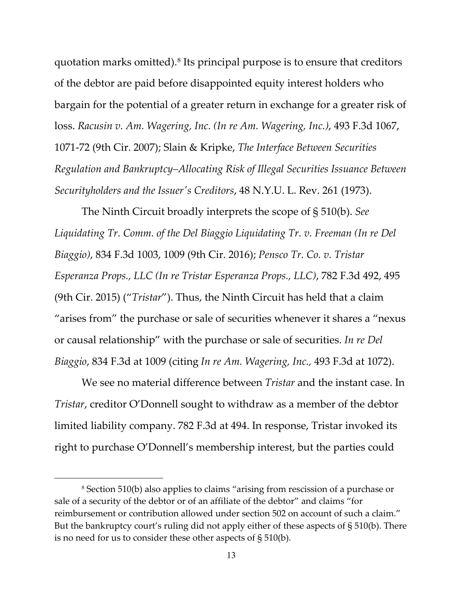quotation marks omitted).[8](#page-12-0) Its principal purpose is to ensure that creditors of the debtor are paid before disappointed equity interest holders who bargain for the potential of a greater return in exchange for a greater risk of loss. *Racusin v. Am. Wagering, Inc. (In re Am. Wagering, Inc.)*, 493 F.3d 1067, 1071-72 (9th Cir. 2007); Slain & Kripke, *The Interface Between Securities Regulation and Bankruptcy–Allocating Risk of Illegal Securities Issuance Between Securityholders and the Issuer's Creditors*, 48 N.Y.U. L. Rev. 261 (1973).

The Ninth Circuit broadly interprets the scope of § 510(b). *See Liquidating Tr. Comm. of the Del Biaggio Liquidating Tr. v. Freeman (In re Del Biaggio)*, 834 F.3d 1003, 1009 (9th Cir. 2016); *Pensco Tr. Co. v. Tristar Esperanza Props., LLC (In re Tristar Esperanza Props., LLC)*, 782 F.3d 492, 495 (9th Cir. 2015) ("*Tristar*"). Thus, the Ninth Circuit has held that a claim "arises from" the purchase or sale of securities whenever it shares a "nexus or causal relationship" with the purchase or sale of securities. *In re Del Biaggio*, 834 F.3d at 1009 (citing *In re Am. Wagering, Inc.,* 493 F.3d at 1072).

We see no material difference between *Tristar* and the instant case. In *Tristar*, creditor O'Donnell sought to withdraw as a member of the debtor limited liability company. 782 F.3d at 494. In response, Tristar invoked its right to purchase O'Donnell's membership interest, but the parties could

<span id="page-12-0"></span><sup>8</sup> Section 510(b) also applies to claims "arising from rescission of a purchase or sale of a security of the debtor or of an affiliate of the debtor" and claims "for reimbursement or contribution allowed under section 502 on account of such a claim." But the bankruptcy court's ruling did not apply either of these aspects of § 510(b). There is no need for us to consider these other aspects of § 510(b).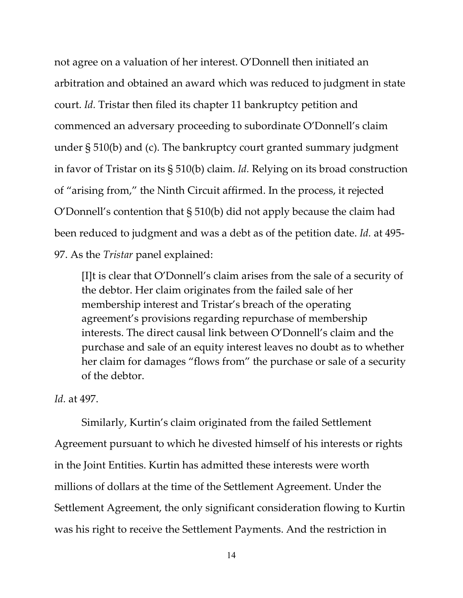not agree on a valuation of her interest. O'Donnell then initiated an arbitration and obtained an award which was reduced to judgment in state court. *Id.* Tristar then filed its chapter 11 bankruptcy petition and commenced an adversary proceeding to subordinate O'Donnell's claim under § 510(b) and (c). The bankruptcy court granted summary judgment in favor of Tristar on its § 510(b) claim. *Id.* Relying on its broad construction of "arising from," the Ninth Circuit affirmed. In the process, it rejected O'Donnell's contention that § 510(b) did not apply because the claim had been reduced to judgment and was a debt as of the petition date. *Id.* at 495- 97. As the *Tristar* panel explained:

[I]t is clear that O'Donnell's claim arises from the sale of a security of the debtor. Her claim originates from the failed sale of her membership interest and Tristar's breach of the operating agreement's provisions regarding repurchase of membership interests. The direct causal link between O'Donnell's claim and the purchase and sale of an equity interest leaves no doubt as to whether her claim for damages "flows from" the purchase or sale of a security of the debtor.

#### *Id.* at 497.

Similarly, Kurtin's claim originated from the failed Settlement Agreement pursuant to which he divested himself of his interests or rights in the Joint Entities. Kurtin has admitted these interests were worth millions of dollars at the time of the Settlement Agreement. Under the Settlement Agreement, the only significant consideration flowing to Kurtin was his right to receive the Settlement Payments. And the restriction in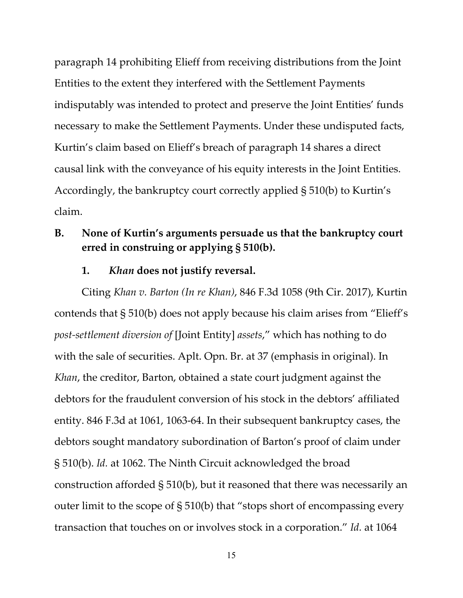paragraph 14 prohibiting Elieff from receiving distributions from the Joint Entities to the extent they interfered with the Settlement Payments indisputably was intended to protect and preserve the Joint Entities' funds necessary to make the Settlement Payments. Under these undisputed facts, Kurtin's claim based on Elieff's breach of paragraph 14 shares a direct causal link with the conveyance of his equity interests in the Joint Entities. Accordingly, the bankruptcy court correctly applied § 510(b) to Kurtin's claim.

## **B. None of Kurtin's arguments persuade us that the bankruptcy court erred in construing or applying § 510(b).**

#### **1.** *Khan* **does not justify reversal.**

Citing *Khan v. Barton (In re Khan)*, 846 F.3d 1058 (9th Cir. 2017), Kurtin contends that § 510(b) does not apply because his claim arises from "Elieff's *post-settlement diversion of* [Joint Entity] *assets*," which has nothing to do with the sale of securities. Aplt. Opn. Br. at 37 (emphasis in original). In *Khan*, the creditor, Barton, obtained a state court judgment against the debtors for the fraudulent conversion of his stock in the debtors' affiliated entity. 846 F.3d at 1061, 1063-64. In their subsequent bankruptcy cases, the debtors sought mandatory subordination of Barton's proof of claim under § 510(b). *Id.* at 1062. The Ninth Circuit acknowledged the broad construction afforded § 510(b), but it reasoned that there was necessarily an outer limit to the scope of § 510(b) that "stops short of encompassing every transaction that touches on or involves stock in a corporation." *Id.* at 1064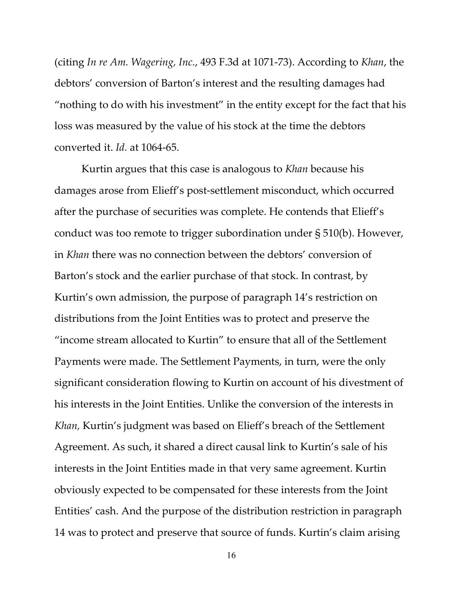(citing *In re Am. Wagering, Inc.*, 493 F.3d at 1071-73). According to *Khan*, the debtors' conversion of Barton's interest and the resulting damages had "nothing to do with his investment" in the entity except for the fact that his loss was measured by the value of his stock at the time the debtors converted it. *Id.* at 1064-65.

Kurtin argues that this case is analogous to *Khan* because his damages arose from Elieff's post-settlement misconduct, which occurred after the purchase of securities was complete. He contends that Elieff's conduct was too remote to trigger subordination under § 510(b). However, in *Khan* there was no connection between the debtors' conversion of Barton's stock and the earlier purchase of that stock. In contrast, by Kurtin's own admission, the purpose of paragraph 14's restriction on distributions from the Joint Entities was to protect and preserve the "income stream allocated to Kurtin" to ensure that all of the Settlement Payments were made. The Settlement Payments, in turn, were the only significant consideration flowing to Kurtin on account of his divestment of his interests in the Joint Entities. Unlike the conversion of the interests in *Khan,* Kurtin's judgment was based on Elieff's breach of the Settlement Agreement. As such, it shared a direct causal link to Kurtin's sale of his interests in the Joint Entities made in that very same agreement. Kurtin obviously expected to be compensated for these interests from the Joint Entities' cash. And the purpose of the distribution restriction in paragraph 14 was to protect and preserve that source of funds. Kurtin's claim arising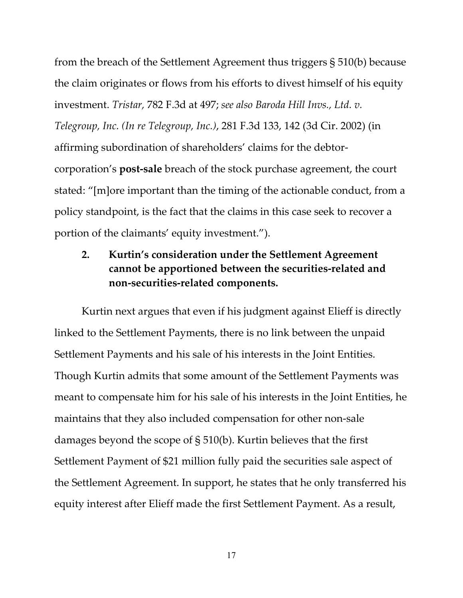from the breach of the Settlement Agreement thus triggers § 510(b) because the claim originates or flows from his efforts to divest himself of his equity investment. *Tristar,* 782 F.3d at 497; *see also Baroda Hill Invs., Ltd. v. Telegroup, Inc. (In re Telegroup, Inc.)*, 281 F.3d 133, 142 (3d Cir. 2002) (in affirming subordination of shareholders' claims for the debtorcorporation's **post-sale** breach of the stock purchase agreement, the court stated: "[m]ore important than the timing of the actionable conduct, from a policy standpoint, is the fact that the claims in this case seek to recover a portion of the claimants' equity investment.").

## **2. Kurtin's consideration under the Settlement Agreement cannot be apportioned between the securities-related and non-securities-related components.**

Kurtin next argues that even if his judgment against Elieff is directly linked to the Settlement Payments, there is no link between the unpaid Settlement Payments and his sale of his interests in the Joint Entities. Though Kurtin admits that some amount of the Settlement Payments was meant to compensate him for his sale of his interests in the Joint Entities, he maintains that they also included compensation for other non-sale damages beyond the scope of § 510(b). Kurtin believes that the first Settlement Payment of \$21 million fully paid the securities sale aspect of the Settlement Agreement. In support, he states that he only transferred his equity interest after Elieff made the first Settlement Payment. As a result,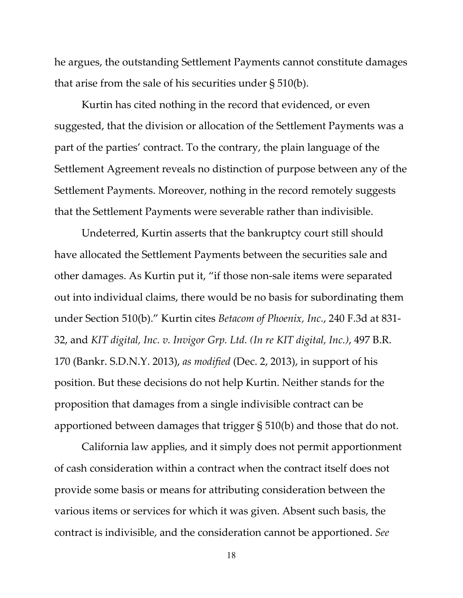he argues, the outstanding Settlement Payments cannot constitute damages that arise from the sale of his securities under § 510(b).

Kurtin has cited nothing in the record that evidenced, or even suggested, that the division or allocation of the Settlement Payments was a part of the parties' contract. To the contrary, the plain language of the Settlement Agreement reveals no distinction of purpose between any of the Settlement Payments. Moreover, nothing in the record remotely suggests that the Settlement Payments were severable rather than indivisible.

Undeterred, Kurtin asserts that the bankruptcy court still should have allocated the Settlement Payments between the securities sale and other damages. As Kurtin put it, "if those non-sale items were separated out into individual claims, there would be no basis for subordinating them under Section 510(b)." Kurtin cites *Betacom of Phoenix, Inc.*, 240 F.3d at 831- 32, and *KIT digital, Inc. v. Invigor Grp. Ltd. (In re KIT digital, Inc.)*, 497 B.R. 170 (Bankr. S.D.N.Y. 2013), *as modified* (Dec. 2, 2013), in support of his position. But these decisions do not help Kurtin. Neither stands for the proposition that damages from a single indivisible contract can be apportioned between damages that trigger § 510(b) and those that do not.

California law applies, and it simply does not permit apportionment of cash consideration within a contract when the contract itself does not provide some basis or means for attributing consideration between the various items or services for which it was given. Absent such basis, the contract is indivisible, and the consideration cannot be apportioned. *See*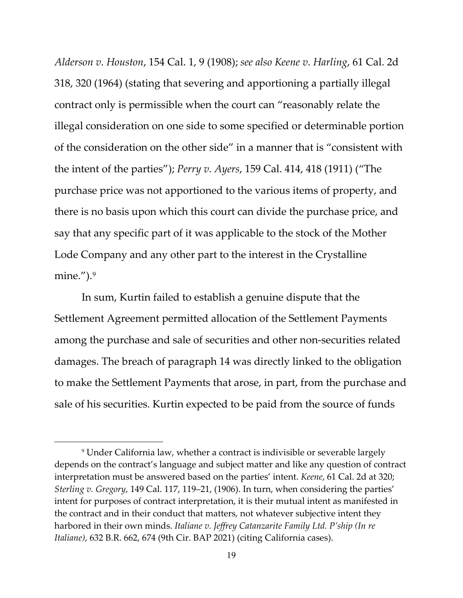*Alderson v. Houston*, 154 Cal. 1, 9 (1908); *see also Keene v. Harling*, 61 Cal. 2d 318, 320 (1964) (stating that severing and apportioning a partially illegal contract only is permissible when the court can "reasonably relate the illegal consideration on one side to some specified or determinable portion of the consideration on the other side" in a manner that is "consistent with the intent of the parties"); *Perry v. Ayers*, 159 Cal. 414, 418 (1911) ("The purchase price was not apportioned to the various items of property, and there is no basis upon which this court can divide the purchase price, and say that any specific part of it was applicable to the stock of the Mother Lode Company and any other part to the interest in the Crystalline mine."). $9$ 

In sum, Kurtin failed to establish a genuine dispute that the Settlement Agreement permitted allocation of the Settlement Payments among the purchase and sale of securities and other non-securities related damages. The breach of paragraph 14 was directly linked to the obligation to make the Settlement Payments that arose, in part, from the purchase and sale of his securities. Kurtin expected to be paid from the source of funds

<span id="page-18-0"></span><sup>9</sup> Under California law, whether a contract is indivisible or severable largely depends on the contract's language and subject matter and like any question of contract interpretation must be answered based on the parties' intent. *Keene*, 61 Cal. 2d at 320; *Sterling v. Gregory*, 149 Cal. 117, 119–21, (1906). In turn, when considering the parties' intent for purposes of contract interpretation, it is their mutual intent as manifested in the contract and in their conduct that matters, not whatever subjective intent they harbored in their own minds. *Italiane v. Jeffrey Catanzarite Family Ltd. P'ship (In re Italiane)*, 632 B.R. 662, 674 (9th Cir. BAP 2021) (citing California cases).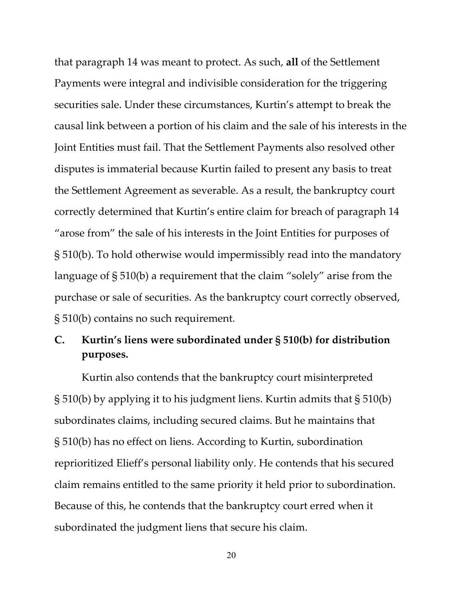that paragraph 14 was meant to protect. As such, **all** of the Settlement Payments were integral and indivisible consideration for the triggering securities sale. Under these circumstances, Kurtin's attempt to break the causal link between a portion of his claim and the sale of his interests in the Joint Entities must fail. That the Settlement Payments also resolved other disputes is immaterial because Kurtin failed to present any basis to treat the Settlement Agreement as severable. As a result, the bankruptcy court correctly determined that Kurtin's entire claim for breach of paragraph 14 "arose from" the sale of his interests in the Joint Entities for purposes of § 510(b). To hold otherwise would impermissibly read into the mandatory language of § 510(b) a requirement that the claim "solely" arise from the purchase or sale of securities. As the bankruptcy court correctly observed, § 510(b) contains no such requirement.

## **C. Kurtin's liens were subordinated under § 510(b) for distribution purposes.**

Kurtin also contends that the bankruptcy court misinterpreted § 510(b) by applying it to his judgment liens. Kurtin admits that § 510(b) subordinates claims, including secured claims. But he maintains that § 510(b) has no effect on liens. According to Kurtin, subordination reprioritized Elieff's personal liability only. He contends that his secured claim remains entitled to the same priority it held prior to subordination. Because of this, he contends that the bankruptcy court erred when it subordinated the judgment liens that secure his claim.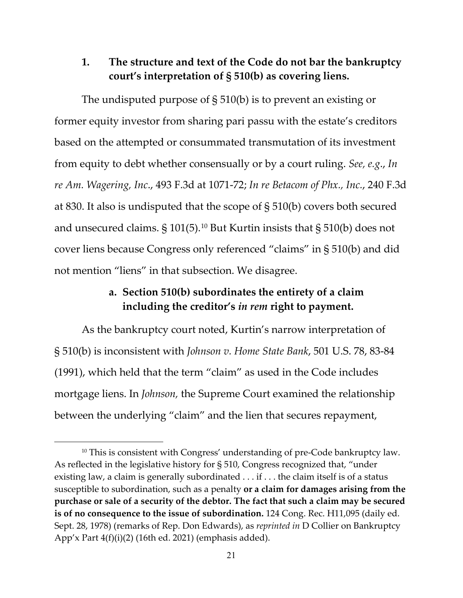#### **1. The structure and text of the Code do not bar the bankruptcy court's interpretation of § 510(b) as covering liens.**

The undisputed purpose of § 510(b) is to prevent an existing or former equity investor from sharing pari passu with the estate's creditors based on the attempted or consummated transmutation of its investment from equity to debt whether consensually or by a court ruling. *See, e.g*., *In re Am. Wagering, Inc*., 493 F.3d at 1071-72; *In re Betacom of Phx., Inc.*, 240 F.3d at 830. It also is undisputed that the scope of § 510(b) covers both secured and unsecured claims.  $\S 101(5)$  $\S 101(5)$  $\S 101(5)$ .<sup>10</sup> But Kurtin insists that  $\S 510(b)$  does not cover liens because Congress only referenced "claims" in § 510(b) and did not mention "liens" in that subsection. We disagree.

## **a. Section 510(b) subordinates the entirety of a claim including the creditor's** *in rem* **right to payment.**

As the bankruptcy court noted, Kurtin's narrow interpretation of § 510(b) is inconsistent with *Johnson v. Home State Bank*, 501 U.S. 78, 83-84 (1991), which held that the term "claim" as used in the Code includes mortgage liens. In *Johnson,* the Supreme Court examined the relationship between the underlying "claim" and the lien that secures repayment,

<span id="page-20-0"></span><sup>&</sup>lt;sup>10</sup> This is consistent with Congress' understanding of pre-Code bankruptcy law. As reflected in the legislative history for § 510, Congress recognized that, "under existing law, a claim is generally subordinated . . . if . . . the claim itself is of a status susceptible to subordination, such as a penalty **or a claim for damages arising from the purchase or sale of a security of the debtor. The fact that such a claim may be secured is of no consequence to the issue of subordination.** 124 Cong. Rec. H11,095 (daily ed. Sept. 28, 1978) (remarks of Rep. Don Edwards), as *reprinted in* D Collier on Bankruptcy App'x Part 4(f)(i)(2) (16th ed. 2021) (emphasis added).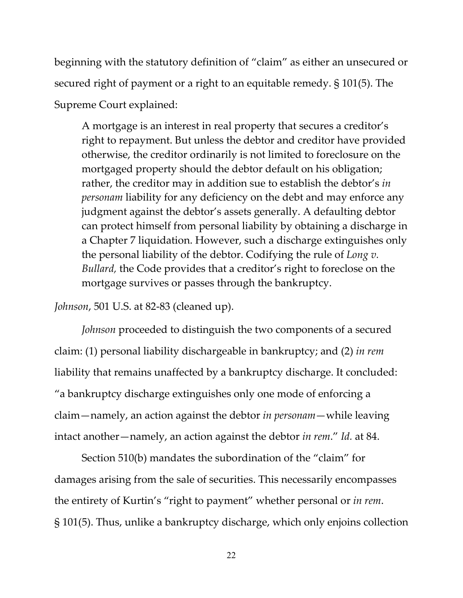beginning with the statutory definition of "claim" as either an unsecured or secured right of payment or a right to an equitable remedy. § 101(5). The Supreme Court explained:

A mortgage is an interest in real property that secures a creditor's right to repayment. But unless the debtor and creditor have provided otherwise, the creditor ordinarily is not limited to foreclosure on the mortgaged property should the debtor default on his obligation; rather, the creditor may in addition sue to establish the debtor's *in personam* liability for any deficiency on the debt and may enforce any judgment against the debtor's assets generally. A defaulting debtor can protect himself from personal liability by obtaining a discharge in a Chapter 7 liquidation. However, such a discharge extinguishes only the personal liability of the debtor. Codifying the rule of *Long v. Bullard,* the Code provides that a creditor's right to foreclose on the mortgage survives or passes through the bankruptcy.

*Johnson*, 501 U.S. at 82-83 (cleaned up).

*Johnson* proceeded to distinguish the two components of a secured claim: (1) personal liability dischargeable in bankruptcy; and (2) *in rem* liability that remains unaffected by a bankruptcy discharge. It concluded: "a bankruptcy discharge extinguishes only one mode of enforcing a claim—namely, an action against the debtor *in personam*—while leaving intact another—namely, an action against the debtor *in rem*." *Id.* at 84.

Section 510(b) mandates the subordination of the "claim" for damages arising from the sale of securities. This necessarily encompasses the entirety of Kurtin's "right to payment" whether personal or *in rem*. § 101(5). Thus, unlike a bankruptcy discharge, which only enjoins collection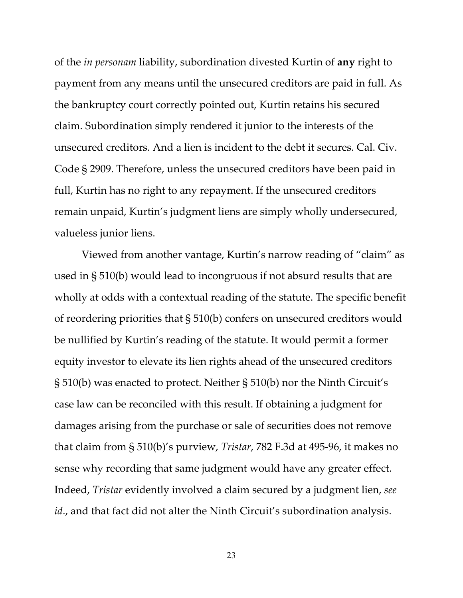of the *in personam* liability, subordination divested Kurtin of **any** right to payment from any means until the unsecured creditors are paid in full. As the bankruptcy court correctly pointed out, Kurtin retains his secured claim. Subordination simply rendered it junior to the interests of the unsecured creditors. And a lien is incident to the debt it secures. Cal. Civ. Code § 2909. Therefore, unless the unsecured creditors have been paid in full, Kurtin has no right to any repayment. If the unsecured creditors remain unpaid, Kurtin's judgment liens are simply wholly undersecured, valueless junior liens.

Viewed from another vantage, Kurtin's narrow reading of "claim" as used in § 510(b) would lead to incongruous if not absurd results that are wholly at odds with a contextual reading of the statute. The specific benefit of reordering priorities that § 510(b) confers on unsecured creditors would be nullified by Kurtin's reading of the statute. It would permit a former equity investor to elevate its lien rights ahead of the unsecured creditors § 510(b) was enacted to protect. Neither § 510(b) nor the Ninth Circuit's case law can be reconciled with this result. If obtaining a judgment for damages arising from the purchase or sale of securities does not remove that claim from § 510(b)'s purview, *Tristar*, 782 F.3d at 495-96, it makes no sense why recording that same judgment would have any greater effect. Indeed, *Tristar* evidently involved a claim secured by a judgment lien, *see id.*, and that fact did not alter the Ninth Circuit's subordination analysis.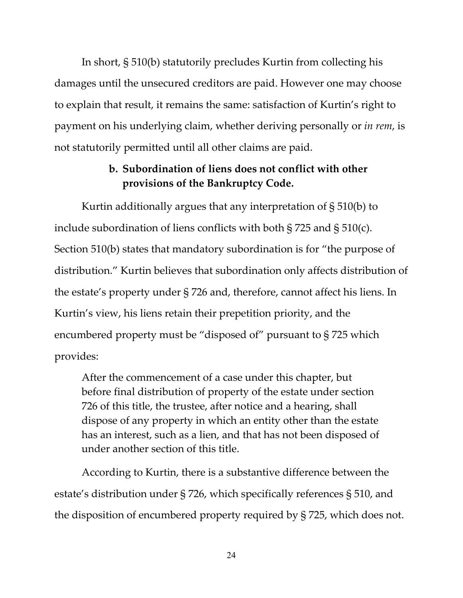In short, § 510(b) statutorily precludes Kurtin from collecting his damages until the unsecured creditors are paid. However one may choose to explain that result, it remains the same: satisfaction of Kurtin's right to payment on his underlying claim, whether deriving personally or *in rem*, is not statutorily permitted until all other claims are paid.

## **b. Subordination of liens does not conflict with other provisions of the Bankruptcy Code.**

Kurtin additionally argues that any interpretation of § 510(b) to include subordination of liens conflicts with both § 725 and § 510(c). Section 510(b) states that mandatory subordination is for "the purpose of distribution." Kurtin believes that subordination only affects distribution of the estate's property under § 726 and, therefore, cannot affect his liens. In Kurtin's view, his liens retain their prepetition priority, and the encumbered property must be "disposed of" pursuant to § 725 which provides:

After the commencement of a case under this chapter, but before final distribution of property of the estate under section 726 of this title, the trustee, after notice and a hearing, shall dispose of any property in which an entity other than the estate has an interest, such as a lien, and that has not been disposed of under another section of this title.

According to Kurtin, there is a substantive difference between the estate's distribution under § 726, which specifically references § 510, and the disposition of encumbered property required by § 725, which does not.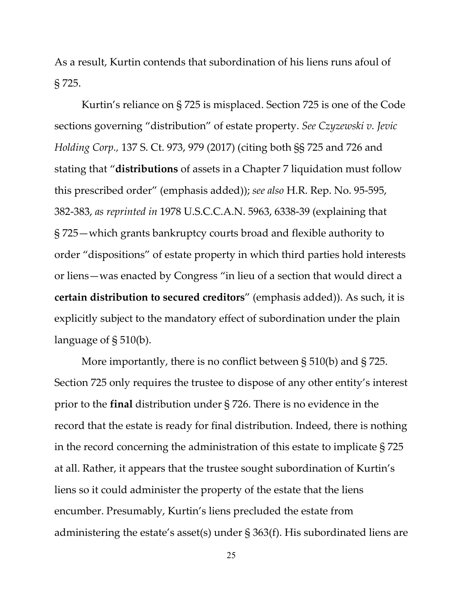As a result, Kurtin contends that subordination of his liens runs afoul of § 725.

Kurtin's reliance on § 725 is misplaced. Section 725 is one of the Code sections governing "distribution" of estate property. *See Czyzewski v. Jevic Holding Corp.,* 137 S. Ct. 973, 979 (2017) (citing both §§ 725 and 726 and stating that "**distributions** of assets in a Chapter 7 liquidation must follow this prescribed order" (emphasis added)); *see also* H.R. Rep. No. 95-595, 382-383, *as reprinted in* 1978 U.S.C.C.A.N. 5963, 6338-39 (explaining that § 725—which grants bankruptcy courts broad and flexible authority to order "dispositions" of estate property in which third parties hold interests or liens—was enacted by Congress "in lieu of a section that would direct a **certain distribution to secured creditors**" (emphasis added)). As such, it is explicitly subject to the mandatory effect of subordination under the plain language of § 510(b).

More importantly, there is no conflict between § 510(b) and § 725. Section 725 only requires the trustee to dispose of any other entity's interest prior to the **final** distribution under § 726. There is no evidence in the record that the estate is ready for final distribution. Indeed, there is nothing in the record concerning the administration of this estate to implicate § 725 at all. Rather, it appears that the trustee sought subordination of Kurtin's liens so it could administer the property of the estate that the liens encumber. Presumably, Kurtin's liens precluded the estate from administering the estate's asset(s) under § 363(f). His subordinated liens are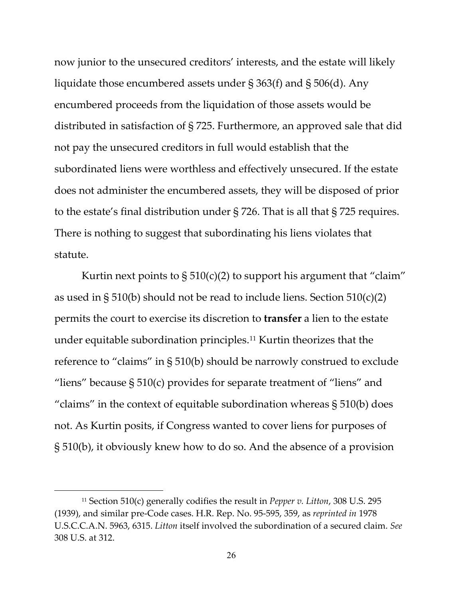now junior to the unsecured creditors' interests, and the estate will likely liquidate those encumbered assets under § 363(f) and § 506(d). Any encumbered proceeds from the liquidation of those assets would be distributed in satisfaction of § 725. Furthermore, an approved sale that did not pay the unsecured creditors in full would establish that the subordinated liens were worthless and effectively unsecured. If the estate does not administer the encumbered assets, they will be disposed of prior to the estate's final distribution under § 726. That is all that § 725 requires. There is nothing to suggest that subordinating his liens violates that statute.

Kurtin next points to  $\S 510(c)(2)$  to support his argument that "claim" as used in § 510(b) should not be read to include liens. Section  $510(c)(2)$ permits the court to exercise its discretion to **transfer** a lien to the estate under equitable subordination principles.[11](#page-25-0) Kurtin theorizes that the reference to "claims" in § 510(b) should be narrowly construed to exclude "liens" because  $\S 510(c)$  provides for separate treatment of "liens" and "claims" in the context of equitable subordination whereas  $\S 510(b)$  does not. As Kurtin posits, if Congress wanted to cover liens for purposes of § 510(b), it obviously knew how to do so. And the absence of a provision

<span id="page-25-0"></span><sup>11</sup> Section 510(c) generally codifies the result in *Pepper v. Litton*, 308 U.S. 295 (1939), and similar pre-Code cases. H.R. Rep. No. 95-595, 359, as *reprinted in* 1978 U.S.C.C.A.N. 5963, 6315. *Litton* itself involved the subordination of a secured claim. *See*  308 U.S. at 312.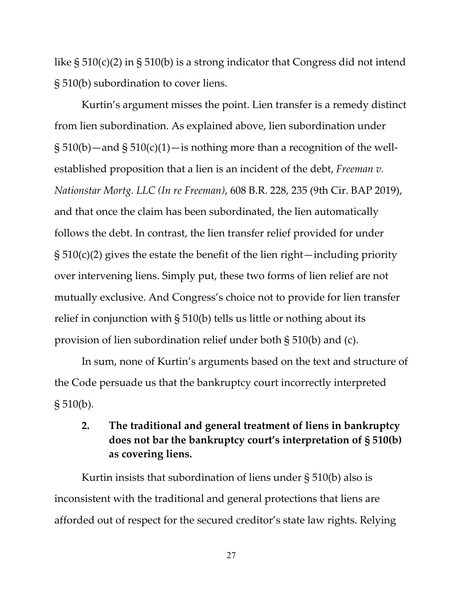like  $\S 510(c)(2)$  in  $\S 510(b)$  is a strong indicator that Congress did not intend § 510(b) subordination to cover liens.

Kurtin's argument misses the point. Lien transfer is a remedy distinct from lien subordination. As explained above, lien subordination under  $\S 510(b)$ —and  $\S 510(c)(1)$ —is nothing more than a recognition of the wellestablished proposition that a lien is an incident of the debt, *Freeman v. Nationstar Mortg. LLC (In re Freeman)*, 608 B.R. 228, 235 (9th Cir. BAP 2019), and that once the claim has been subordinated, the lien automatically follows the debt. In contrast, the lien transfer relief provided for under  $\S 510(c)(2)$  gives the estate the benefit of the lien right—including priority over intervening liens. Simply put, these two forms of lien relief are not mutually exclusive. And Congress's choice not to provide for lien transfer relief in conjunction with § 510(b) tells us little or nothing about its provision of lien subordination relief under both § 510(b) and (c).

In sum, none of Kurtin's arguments based on the text and structure of the Code persuade us that the bankruptcy court incorrectly interpreted  $\S 510(b)$ .

## **2. The traditional and general treatment of liens in bankruptcy does not bar the bankruptcy court's interpretation of § 510(b) as covering liens.**

Kurtin insists that subordination of liens under § 510(b) also is inconsistent with the traditional and general protections that liens are afforded out of respect for the secured creditor's state law rights. Relying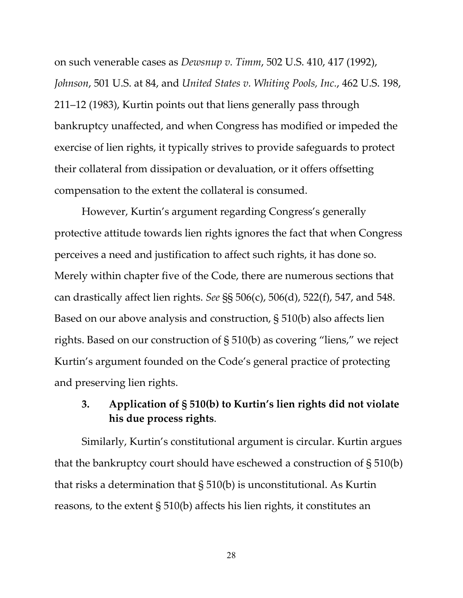on such venerable cases as *Dewsnup v. Timm*, 502 U.S. 410, 417 (1992), *Johnson*, 501 U.S. at 84, and *United States v. Whiting Pools, Inc.*, 462 U.S. 198, 211–12 (1983), Kurtin points out that liens generally pass through bankruptcy unaffected, and when Congress has modified or impeded the exercise of lien rights, it typically strives to provide safeguards to protect their collateral from dissipation or devaluation, or it offers offsetting compensation to the extent the collateral is consumed.

However, Kurtin's argument regarding Congress's generally protective attitude towards lien rights ignores the fact that when Congress perceives a need and justification to affect such rights, it has done so. Merely within chapter five of the Code, there are numerous sections that can drastically affect lien rights. *See* §§ 506(c), 506(d), 522(f), 547, and 548. Based on our above analysis and construction, § 510(b) also affects lien rights. Based on our construction of § 510(b) as covering "liens," we reject Kurtin's argument founded on the Code's general practice of protecting and preserving lien rights.

## **3. Application of § 510(b) to Kurtin's lien rights did not violate his due process rights**.

Similarly, Kurtin's constitutional argument is circular. Kurtin argues that the bankruptcy court should have eschewed a construction of § 510(b) that risks a determination that § 510(b) is unconstitutional. As Kurtin reasons, to the extent § 510(b) affects his lien rights, it constitutes an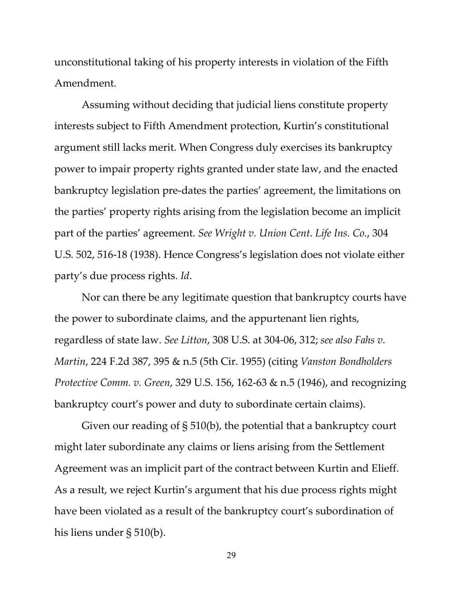unconstitutional taking of his property interests in violation of the Fifth Amendment.

Assuming without deciding that judicial liens constitute property interests subject to Fifth Amendment protection, Kurtin's constitutional argument still lacks merit. When Congress duly exercises its bankruptcy power to impair property rights granted under state law, and the enacted bankruptcy legislation pre-dates the parties' agreement, the limitations on the parties' property rights arising from the legislation become an implicit part of the parties' agreement. *See Wright v. Union Cent. Life Ins. Co.*, 304 U.S. 502, 516-18 (1938). Hence Congress's legislation does not violate either party's due process rights. *Id*.

Nor can there be any legitimate question that bankruptcy courts have the power to subordinate claims, and the appurtenant lien rights, regardless of state law. *See Litton*, 308 U.S. at 304-06, 312; *see also Fahs v. Martin*, 224 F.2d 387, 395 & n.5 (5th Cir. 1955) (citing *Vanston Bondholders Protective Comm. v. Green*, 329 U.S. 156, 162-63 & n.5 (1946), and recognizing bankruptcy court's power and duty to subordinate certain claims).

Given our reading of § 510(b), the potential that a bankruptcy court might later subordinate any claims or liens arising from the Settlement Agreement was an implicit part of the contract between Kurtin and Elieff. As a result, we reject Kurtin's argument that his due process rights might have been violated as a result of the bankruptcy court's subordination of his liens under § 510(b).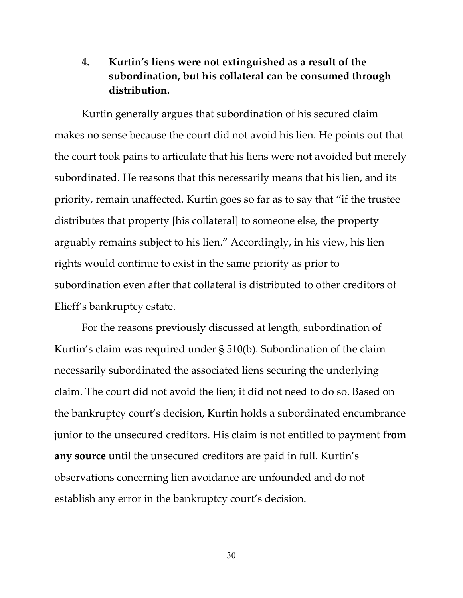## **4. Kurtin's liens were not extinguished as a result of the subordination, but his collateral can be consumed through distribution.**

Kurtin generally argues that subordination of his secured claim makes no sense because the court did not avoid his lien. He points out that the court took pains to articulate that his liens were not avoided but merely subordinated. He reasons that this necessarily means that his lien, and its priority, remain unaffected. Kurtin goes so far as to say that "if the trustee distributes that property [his collateral] to someone else, the property arguably remains subject to his lien." Accordingly, in his view, his lien rights would continue to exist in the same priority as prior to subordination even after that collateral is distributed to other creditors of Elieff's bankruptcy estate.

For the reasons previously discussed at length, subordination of Kurtin's claim was required under § 510(b). Subordination of the claim necessarily subordinated the associated liens securing the underlying claim. The court did not avoid the lien; it did not need to do so. Based on the bankruptcy court's decision, Kurtin holds a subordinated encumbrance junior to the unsecured creditors. His claim is not entitled to payment **from any source** until the unsecured creditors are paid in full. Kurtin's observations concerning lien avoidance are unfounded and do not establish any error in the bankruptcy court's decision.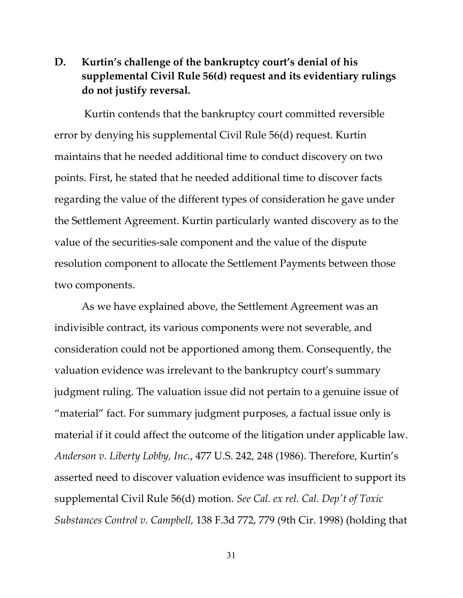## **D. Kurtin's challenge of the bankruptcy court's denial of his supplemental Civil Rule 56(d) request and its evidentiary rulings do not justify reversal.**

Kurtin contends that the bankruptcy court committed reversible error by denying his supplemental Civil Rule 56(d) request. Kurtin maintains that he needed additional time to conduct discovery on two points. First, he stated that he needed additional time to discover facts regarding the value of the different types of consideration he gave under the Settlement Agreement. Kurtin particularly wanted discovery as to the value of the securities-sale component and the value of the dispute resolution component to allocate the Settlement Payments between those two components.

As we have explained above, the Settlement Agreement was an indivisible contract, its various components were not severable, and consideration could not be apportioned among them. Consequently, the valuation evidence was irrelevant to the bankruptcy court's summary judgment ruling. The valuation issue did not pertain to a genuine issue of "material" fact. For summary judgment purposes, a factual issue only is material if it could affect the outcome of the litigation under applicable law. *Anderson v. Liberty Lobby, Inc.*, 477 U.S. 242, 248 (1986). Therefore, Kurtin's asserted need to discover valuation evidence was insufficient to support its supplemental Civil Rule 56(d) motion. *See Cal. ex rel. Cal. Dep't of Toxic Substances Control v. Campbell,* 138 F.3d 772, 779 (9th Cir. 1998) (holding that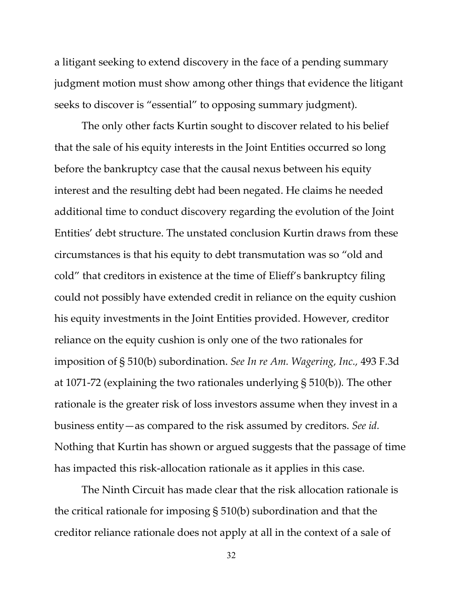a litigant seeking to extend discovery in the face of a pending summary judgment motion must show among other things that evidence the litigant seeks to discover is "essential" to opposing summary judgment).

The only other facts Kurtin sought to discover related to his belief that the sale of his equity interests in the Joint Entities occurred so long before the bankruptcy case that the causal nexus between his equity interest and the resulting debt had been negated. He claims he needed additional time to conduct discovery regarding the evolution of the Joint Entities' debt structure. The unstated conclusion Kurtin draws from these circumstances is that his equity to debt transmutation was so "old and cold" that creditors in existence at the time of Elieff's bankruptcy filing could not possibly have extended credit in reliance on the equity cushion his equity investments in the Joint Entities provided. However, creditor reliance on the equity cushion is only one of the two rationales for imposition of § 510(b) subordination. *See In re Am. Wagering, Inc.,* 493 F.3d at 1071-72 (explaining the two rationales underlying § 510(b))*.* The other rationale is the greater risk of loss investors assume when they invest in a business entity—as compared to the risk assumed by creditors. *See id.*  Nothing that Kurtin has shown or argued suggests that the passage of time has impacted this risk-allocation rationale as it applies in this case.

The Ninth Circuit has made clear that the risk allocation rationale is the critical rationale for imposing § 510(b) subordination and that the creditor reliance rationale does not apply at all in the context of a sale of